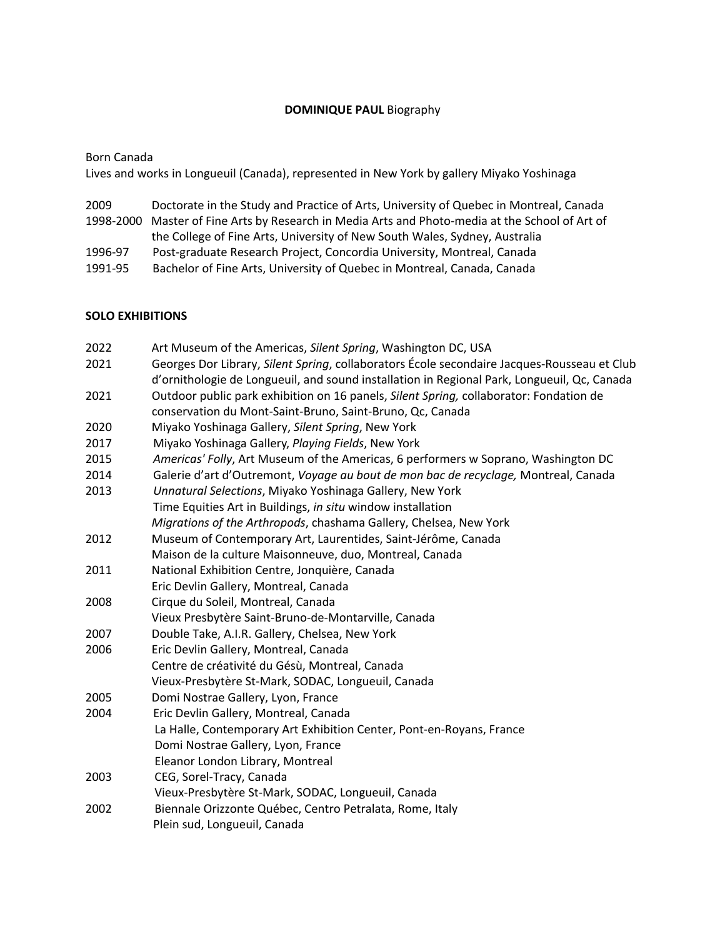# **DOMINIQUE PAUL** Biography

Born Canada

Lives and works in Longueuil (Canada), represented in New York by gallery Miyako Yoshinaga

| 2009    | Doctorate in the Study and Practice of Arts, University of Quebec in Montreal, Canada           |
|---------|-------------------------------------------------------------------------------------------------|
|         | 1998-2000 Master of Fine Arts by Research in Media Arts and Photo-media at the School of Art of |
|         | the College of Fine Arts, University of New South Wales, Sydney, Australia                      |
| 1996-97 | Post-graduate Research Project, Concordia University, Montreal, Canada                          |
| 1991-95 | Bachelor of Fine Arts, University of Quebec in Montreal, Canada, Canada                         |

## **SOLO EXHIBITIONS**

| 2022 | Art Museum of the Americas, Silent Spring, Washington DC, USA                                                                                                                              |
|------|--------------------------------------------------------------------------------------------------------------------------------------------------------------------------------------------|
| 2021 | Georges Dor Library, Silent Spring, collaborators École secondaire Jacques-Rousseau et Club<br>d'ornithologie de Longueuil, and sound installation in Regional Park, Longueuil, Qc, Canada |
| 2021 | Outdoor public park exhibition on 16 panels, Silent Spring, collaborator: Fondation de                                                                                                     |
|      | conservation du Mont-Saint-Bruno, Saint-Bruno, Qc, Canada                                                                                                                                  |
| 2020 | Miyako Yoshinaga Gallery, Silent Spring, New York                                                                                                                                          |
| 2017 | Miyako Yoshinaga Gallery, Playing Fields, New York                                                                                                                                         |
| 2015 | Americas' Folly, Art Museum of the Americas, 6 performers w Soprano, Washington DC                                                                                                         |
| 2014 | Galerie d'art d'Outremont, Voyage au bout de mon bac de recyclage, Montreal, Canada                                                                                                        |
| 2013 | Unnatural Selections, Miyako Yoshinaga Gallery, New York                                                                                                                                   |
|      | Time Equities Art in Buildings, in situ window installation                                                                                                                                |
|      | Migrations of the Arthropods, chashama Gallery, Chelsea, New York                                                                                                                          |
| 2012 | Museum of Contemporary Art, Laurentides, Saint-Jérôme, Canada                                                                                                                              |
|      | Maison de la culture Maisonneuve, duo, Montreal, Canada                                                                                                                                    |
| 2011 | National Exhibition Centre, Jonquière, Canada                                                                                                                                              |
|      | Eric Devlin Gallery, Montreal, Canada                                                                                                                                                      |
| 2008 | Cirque du Soleil, Montreal, Canada                                                                                                                                                         |
|      | Vieux Presbytère Saint-Bruno-de-Montarville, Canada                                                                                                                                        |
| 2007 | Double Take, A.I.R. Gallery, Chelsea, New York                                                                                                                                             |
| 2006 | Eric Devlin Gallery, Montreal, Canada                                                                                                                                                      |
|      | Centre de créativité du Gésù, Montreal, Canada                                                                                                                                             |
|      | Vieux-Presbytère St-Mark, SODAC, Longueuil, Canada                                                                                                                                         |
| 2005 | Domi Nostrae Gallery, Lyon, France                                                                                                                                                         |
| 2004 | Eric Devlin Gallery, Montreal, Canada                                                                                                                                                      |
|      | La Halle, Contemporary Art Exhibition Center, Pont-en-Royans, France                                                                                                                       |
|      | Domi Nostrae Gallery, Lyon, France                                                                                                                                                         |
|      | Eleanor London Library, Montreal                                                                                                                                                           |
| 2003 | CEG, Sorel-Tracy, Canada                                                                                                                                                                   |
|      | Vieux-Presbytère St-Mark, SODAC, Longueuil, Canada                                                                                                                                         |
| 2002 | Biennale Orizzonte Québec, Centro Petralata, Rome, Italy                                                                                                                                   |
|      | Plein sud, Longueuil, Canada                                                                                                                                                               |
|      |                                                                                                                                                                                            |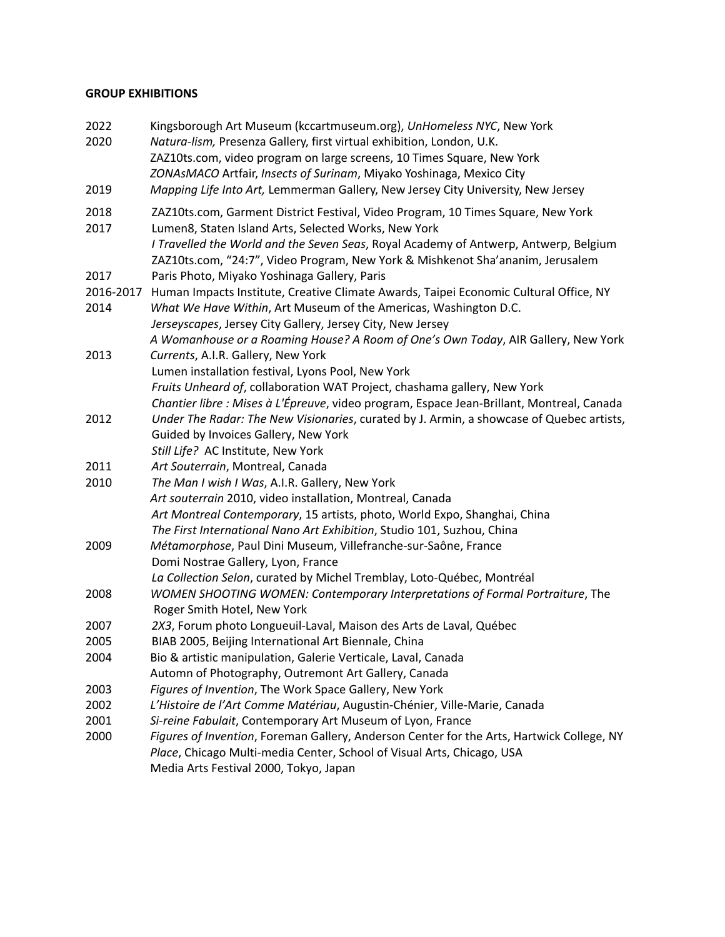## **GROUP EXHIBITIONS**

| 2022<br>2020      | Kingsborough Art Museum (kccartmuseum.org), UnHomeless NYC, New York<br>Natura-lism, Presenza Gallery, first virtual exhibition, London, U.K.<br>ZAZ10ts.com, video program on large screens, 10 Times Square, New York<br>ZONAsMACO Artfair, Insects of Surinam, Miyako Yoshinaga, Mexico City |
|-------------------|-------------------------------------------------------------------------------------------------------------------------------------------------------------------------------------------------------------------------------------------------------------------------------------------------|
| 2019              | Mapping Life Into Art, Lemmerman Gallery, New Jersey City University, New Jersey                                                                                                                                                                                                                |
| 2018              | ZAZ10ts.com, Garment District Festival, Video Program, 10 Times Square, New York                                                                                                                                                                                                                |
| 2017              | Lumen8, Staten Island Arts, Selected Works, New York                                                                                                                                                                                                                                            |
|                   | I Travelled the World and the Seven Seas, Royal Academy of Antwerp, Antwerp, Belgium<br>ZAZ10ts.com, "24:7", Video Program, New York & Mishkenot Sha'ananim, Jerusalem                                                                                                                          |
| 2017              | Paris Photo, Miyako Yoshinaga Gallery, Paris                                                                                                                                                                                                                                                    |
| 2016-2017<br>2014 | Human Impacts Institute, Creative Climate Awards, Taipei Economic Cultural Office, NY<br>What We Have Within, Art Museum of the Americas, Washington D.C.                                                                                                                                       |
|                   | Jerseyscapes, Jersey City Gallery, Jersey City, New Jersey<br>A Womanhouse or a Roaming House? A Room of One's Own Today, AIR Gallery, New York                                                                                                                                                 |
| 2013              | Currents, A.I.R. Gallery, New York                                                                                                                                                                                                                                                              |
|                   | Lumen installation festival, Lyons Pool, New York                                                                                                                                                                                                                                               |
|                   | Fruits Unheard of, collaboration WAT Project, chashama gallery, New York                                                                                                                                                                                                                        |
|                   | Chantier libre : Mises à L'Épreuve, video program, Espace Jean-Brillant, Montreal, Canada                                                                                                                                                                                                       |
| 2012              | Under The Radar: The New Visionaries, curated by J. Armin, a showcase of Quebec artists,                                                                                                                                                                                                        |
|                   | Guided by Invoices Gallery, New York                                                                                                                                                                                                                                                            |
|                   | Still Life? AC Institute, New York                                                                                                                                                                                                                                                              |
| 2011              | Art Souterrain, Montreal, Canada                                                                                                                                                                                                                                                                |
| 2010              | The Man I wish I Was, A.I.R. Gallery, New York                                                                                                                                                                                                                                                  |
|                   | Art souterrain 2010, video installation, Montreal, Canada                                                                                                                                                                                                                                       |
|                   | Art Montreal Contemporary, 15 artists, photo, World Expo, Shanghai, China                                                                                                                                                                                                                       |
|                   | The First International Nano Art Exhibition, Studio 101, Suzhou, China                                                                                                                                                                                                                          |
| 2009              | Métamorphose, Paul Dini Museum, Villefranche-sur-Saône, France                                                                                                                                                                                                                                  |
|                   | Domi Nostrae Gallery, Lyon, France                                                                                                                                                                                                                                                              |
|                   | La Collection Selon, curated by Michel Tremblay, Loto-Québec, Montréal                                                                                                                                                                                                                          |
| 2008              | WOMEN SHOOTING WOMEN: Contemporary Interpretations of Formal Portraiture, The<br>Roger Smith Hotel, New York                                                                                                                                                                                    |
| 2007              | 2X3, Forum photo Longueuil-Laval, Maison des Arts de Laval, Québec                                                                                                                                                                                                                              |
| 2005              | BIAB 2005, Beijing International Art Biennale, China                                                                                                                                                                                                                                            |
| 2004              | Bio & artistic manipulation, Galerie Verticale, Laval, Canada                                                                                                                                                                                                                                   |
|                   | Automn of Photography, Outremont Art Gallery, Canada                                                                                                                                                                                                                                            |
| 2003              | Figures of Invention, The Work Space Gallery, New York                                                                                                                                                                                                                                          |
| 2002              | L'Histoire de l'Art Comme Matériau, Augustin-Chénier, Ville-Marie, Canada                                                                                                                                                                                                                       |
| 2001              | Si-reine Fabulait, Contemporary Art Museum of Lyon, France                                                                                                                                                                                                                                      |
| 2000              | Figures of Invention, Foreman Gallery, Anderson Center for the Arts, Hartwick College, NY<br>Place, Chicago Multi-media Center, School of Visual Arts, Chicago, USA                                                                                                                             |
|                   | Media Arts Festival 2000, Tokyo, Japan                                                                                                                                                                                                                                                          |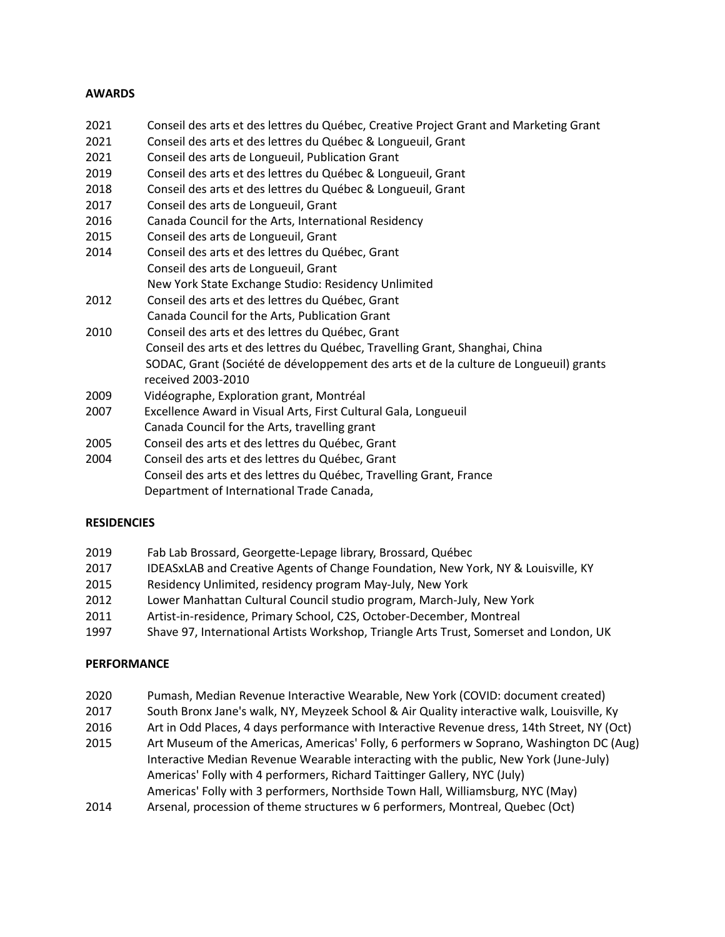## **AWARDS**

- 2021 Conseil des arts et des lettres du Québec, Creative Project Grant and Marketing Grant 2021 Conseil des arts et des lettres du Québec & Longueuil, Grant 2021 Conseil des arts de Longueuil, Publication Grant 2019 Conseil des arts et des lettres du Québec & Longueuil, Grant 2018 Conseil des arts et des lettres du Québec & Longueuil, Grant 2017 Conseil des arts de Longueuil, Grant 2016 Canada Council for the Arts, International Residency 2015 Conseil des arts de Longueuil, Grant 2014 Conseil des arts et des lettres du Québec, Grant Conseil des arts de Longueuil, Grant New York State Exchange Studio: Residency Unlimited 2012 Conseil des arts et des lettres du Québec, Grant Canada Council for the Arts, Publication Grant 2010 Conseil des arts et des lettres du Québec, Grant Conseil des arts et des lettres du Québec, Travelling Grant, Shanghai, China SODAC, Grant (Société de développement des arts et de la culture de Longueuil) grants received 2003-2010 2009 Vidéographe, Exploration grant, Montréal 2007 Excellence Award in Visual Arts, First Cultural Gala, Longueuil Canada Council for the Arts, travelling grant 2005 Conseil des arts et des lettres du Québec, Grant
- 2004 Conseil des arts et des lettres du Québec, Grant Conseil des arts et des lettres du Québec, Travelling Grant, France Department of International Trade Canada,

## **RESIDENCIES**

- 2019 Fab Lab Brossard, Georgette-Lepage library, Brossard, Québec
- 2017 IDEASxLAB and Creative Agents of Change Foundation, New York, NY & Louisville, KY
- 2015 Residency Unlimited, residency program May-July, New York
- 2012 Lower Manhattan Cultural Council studio program, March-July, New York
- 2011 Artist-in-residence, Primary School, C2S, October-December, Montreal
- 1997 Shave 97, International Artists Workshop, Triangle Arts Trust, Somerset and London, UK

## **PERFORMANCE**

- 2020 Pumash, Median Revenue Interactive Wearable, New York (COVID: document created)
- 2017 South Bronx Jane's walk, NY, Meyzeek School & Air Quality interactive walk, Louisville, Ky
- 2016 Art in Odd Places, 4 days performance with Interactive Revenue dress, 14th Street, NY (Oct)
- 2015 Art Museum of the Americas, Americas' Folly, 6 performers w Soprano, Washington DC (Aug) Interactive Median Revenue Wearable interacting with the public, New York (June-July) Americas' Folly with 4 performers, Richard Taittinger Gallery, NYC (July) Americas' Folly with 3 performers, Northside Town Hall, Williamsburg, NYC (May)
- 2014 Arsenal, procession of theme structures w 6 performers, Montreal, Quebec (Oct)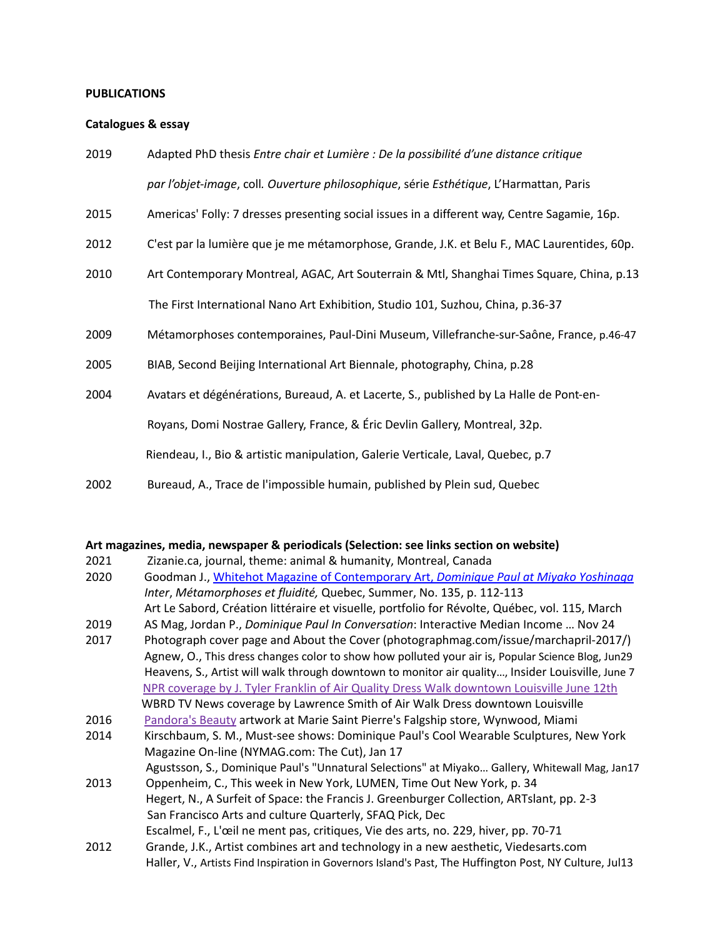#### **PUBLICATIONS**

#### **Catalogues & essay**

- 2019 Adapted PhD thesis *Entre chair et Lumière : De la possibilité d'une distance critique par l'objet-image*, coll*. Ouverture philosophique*, série *Esthétique*, L'Harmattan, Paris
- 2015 Americas' Folly: 7 dresses presenting social issues in a different way, Centre Sagamie, 16p.
- 2012 C'est par la lumière que je me métamorphose, Grande, J.K. et Belu F., MAC Laurentides, 60p.
- 2010 Art Contemporary Montreal, AGAC, Art Souterrain & Mtl, Shanghai Times Square, China, p.13 The First International Nano Art Exhibition, Studio 101, Suzhou, China, p.36-37
- 2009 Métamorphoses contemporaines, Paul-Dini Museum, Villefranche-sur-Saône, France, p.46-47
- 2005 BIAB, Second Beijing International Art Biennale, photography, China, p.28
- 2004 Avatars et dégénérations, Bureaud, A. et Lacerte, S., published by La Halle de Pont-en- Royans, Domi Nostrae Gallery, France, & Éric Devlin Gallery, Montreal, 32p. Riendeau, I., Bio & artistic manipulation, Galerie Verticale, Laval, Quebec, p.7
- 2002 Bureaud, A., Trace de l'impossible humain, published by Plein sud, Quebec

#### **Art magazines, media, newspaper & periodicals (Selection: see links section on website)**

- 2021 Zizanie.ca, journal, theme: animal & humanity, Montreal, Canada
- 2020 Goodman J., Whitehot Magazine of Contemporary Art, *Dominique Paul at Miyako Yoshinaga Inter*, *Métamorphoses et fluidité,* Quebec, Summer, No. 135, p. 112-113 Art Le Sabord, Création littéraire et visuelle, portfolio for Révolte, Québec, vol. 115, March
- 2019 AS Mag, Jordan P., *Dominique Paul In Conversation*: Interactive Median Income … Nov 24
- 2017 Photograph cover page and About the Cover (photographmag.com/issue/marchapril-2017/) Agnew, O., This dress changes color to show how polluted your air is, Popular Science Blog, Jun29 Heavens, S., Artist will walk through downtown to monitor air quality…, Insider Louisville, June 7 NPR coverage by J. Tyler Franklin of Air Quality Dress Walk downtown Louisville June 12th WBRD TV News coverage by Lawrence Smith of Air Walk Dress downtown Louisville
- 2016 Pandora's Beauty artwork at Marie Saint Pierre's Falgship store, Wynwood, Miami
- 2014 Kirschbaum, S. M., Must-see shows: Dominique Paul's Cool Wearable Sculptures, New York Magazine On-line (NYMAG.com: The Cut), Jan 17

Agustsson, S., Dominique Paul's "Unnatural Selections" at Miyako… Gallery, Whitewall Mag, Jan17

2013 Oppenheim, C., This week in New York, LUMEN, Time Out New York, p. 34 Hegert, N., A Surfeit of Space: the Francis J. Greenburger Collection, ARTslant, pp. 2-3 San Francisco Arts and culture Quarterly, SFAQ Pick, Dec

Escalmel, F., L'œil ne ment pas, critiques, Vie des arts, no. 229, hiver, pp. 70-71

2012 Grande, J.K., Artist combines art and technology in a new aesthetic, Viedesarts.com Haller, V., Artists Find Inspiration in Governors Island's Past, The Huffington Post, NY Culture, Jul13